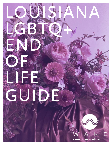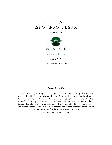This is version 1.0 of the LGBTQ+ END OF LIFE GUIDE

published by



[www.wake.education](https://www.wake.education/)

in May 2022 New Orleans, Louisiana

#### Please Share Me

The use, borrowing, sharing, and copying of this document is encouraged. We request respectful notification and acknowledgment. Be aware that many funeral and burial laws vary from state to state within the U.S. If you are using this as a template to adapt to a different state, please be sure to consult local laws and resources to ensure that it is accurate and relevant to your community. This will be updated in the years to come. We welcome feedback and suggestions for inclusion. Please direct any comments or suggestions to info@wake.education with the words EOL Guide in the subject line.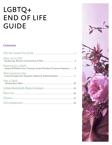# LGBTQ+ END OF LIFE GUIDE

# **Contents**

| When You're Well                                                                                                 |  |
|------------------------------------------------------------------------------------------------------------------|--|
| <u>Preparing for a Death</u><br>Hospice & Palliative Care, Choosing a Funeral Provider, & Customer Protections 8 |  |
| When Someone Dies<br>Funeral Arrangements, Disposition, Paperwork, & Memorialization 11                          |  |
| After a Death                                                                                                    |  |
|                                                                                                                  |  |
|                                                                                                                  |  |
|                                                                                                                  |  |
|                                                                                                                  |  |

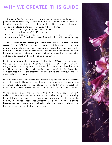# <span id="page-3-0"></span>WHY WE CREATED THIS GUIDE

The Louisiana LGBTQ+ End of Life Guide is a comprehensive primer for end-of-life planning geared specifically towards the LGBTQIA+ community in Louisiana. We intend for this guide to be a practical manual for making informed choices about your own, or a loved one's, end-of-life care. In it you will find:

- clear and correct legal information for Louisiana,
- key areas of risk for the LGBTQIA+ community,
- advice from experts about how to navigate the death care industry, and
- resources, many of which were created from within the LGBTQIA+ community.

The goal of this guide is to close the gap of information on end-of-life care and funeral services for the LGBTQIA+ community, since much of the existing information is directed toward heterosexual couples and nuclear families. The unique needs of the LGBTQIA+ community can be overlooked in the healthcare and funeral industries because of heteronormative and/or cisnormative assumptions from representatives and fear of disclosure on the part of patients and families.

In addition, we want to identify key areas of risk for the LGBTQIA+ community within the legal system. For example, legal definitions of "next-of-kin" often trump the designation of a chosen representative. It's easy for one's wishes to be subverted by a hostile or emotionally disconnected family of origin. But with the right information and legal steps in place, one's identity and wishes can be retained through the endof-life and dying processes.

U.S. funeral laws differ from state to state. Because this guide pertains to the specifics of Louisiana law, it will only be of partial use to those outside the state. We hope to encourage similar projects in other states so that important information about endof-life care for the LGBTQIA+ community can be made as accessible as possible.

We have called this guide the Louisiana LGBTQ + End of Life Guide, as it primarily seeks to provide resources and answers for those who identify as Lesbian, Gay, Bisexual, Transgender, Queer, Questioning, Intersex, Asexual, Non-binary, or who hold any other diverse gender and sexual identities. This guide is meant for everyone, however you identify. We hope you will feel included, and invite you to let us know how we can do a better job of welcoming you.

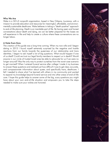#### Who We Are

Wake is a 501c3 nonprofit organization, based in New Orleans, Louisiana, with a mission to provide education and resources for meaningful, affordable, and environmentally sustainable deathcare. Wake believes in taking a "death-positive" approach to end-of-life planning. Death is an inevitable part of life. By having open and honest conversations about death and dying, we can be better prepared for the losses we will experience in life and help to create a culture where these conversations are no longer taboo.

#### A Note from Ezra

The creation of this guide was a long time coming. When my now wife and I began dating in 2013 I found myself extremely surprised by the negative and hostile reactions from our family towards the queerness of our relationship and trans identities. I began to ask myself a lot of big questions. What would happen if one of us died? Could we trust our legal family members to respect us in death? Would anyone in our circle of trusted loved ones be able to advocate for us if we were no longer around? Was the only way to protect ourselves from the worst-case scenario to get married? When I entered funeral service after college I made it my business to answer these questions and realized just how difficult it was to get clear, accurate, and compassionate information about queer, and specifically trans, deathcare. I felt I needed to share what I've learned with others in my community and wanted to expand my knowledge beyond funeral service and into other areas of end-of-life care. I hope this guide helps to answer some of the big, scary questions you might have about your own end-of-life situation and empowers you to take the steps needed to make sure your wishes are honored.

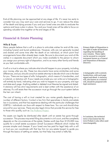# <span id="page-5-0"></span>WHEN YOU'RE WELL

End-of-life planning can be approached at any stage of life. It's never too early to consider how you may want your care and services to go. It can reduce the stress of the death and dying process if you and your loved ones are able to evaluate the options and have a plan in place. You and your loved ones will be able to focus on spending valuable time together at the end stages of life.

### **Financial & Estate Planning**

#### Wills & Trusts

Many people believe that a will is a place to articulate wishes for end-of-life care, including funeral and burial preferences. However, wills are not generally located and shared until some time after the death of an individual, at which point final arrangements have often already been made. Be sure to document your end-of-life wishes in a separate document which you make available to the person to whom you assign your primary right of disposition, and to as many other family and friends as you feel comfortable with.

A will or a trust is where you indicate what should happen to your property, including your money, after you die. These two documents have some similarities and some differences, and you should consult an estate attorney to decide which one is the best for you. There are two types of wills: holographic, which means it's handwritten, and a notarial, or statutory will. If your needs are simple you can write out a holographic will entirely by hand, indicating what you wish to happen to your property, and sign and date each page. Anything added or deleted must likewise be signed and dated. A statutory will has strict requirements and is best written with the assistance of an attorney. If a will exists then the succession must go through the court system before the heir can inherit.

The cost of having a will or trust created for you varies greatly depending on a number of different factors. Contact a law firm that specializes in family and estate law in Louisiana, and that has experience dealing with the particular challenges that LGBTQ+ individuals can face with respect to these laws. You can and should shop around for your services. There are also legal clinics that provide this service for free to those who qualify, such as [The ProBono Project](http://probono-no.org/).

No assets can legally be distributed after death until an estate has gone through succession. This process may entail filing documents in civil court, and the complexity depends on the circumstances of the estate. Estates worth less than \$125,000 may qualify for a small estate succession (Small Succession Affidavit) which makes the process simpler and cheaper. If your loved one has paid for legal help with a will or trust you can coordinate with that law firm (or any estate lawyer) to guide you through the basics of settling an estate, but that help may entail a hefty fee.

Primary Right of Disposition is the right to make all decisions regarding the handling of your remains. These rights can be secured in a notarial testament known as a Funeral and Disposition of Remains Directive.

A holographic will is entirely handwritten, with each page signed and dated. A statutory will, also known as a notarial will, should be prepared with legal assistance.

In Louisiana, the technical term is Succession but the term Probate is also often used interchangeably.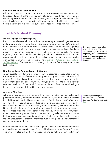#### Financial Power of Attorney (POA)

A financial power of attorney allows you to entrust someone else to manage your finances and property in the event you can't take care of these things yourself. Giving someone power of attorney does not remove your own right to make decisions for yourself. A POA should be completed with legal assistance. It will need to be signed before a notary and two witnesses but does not need to be filed with the court.

### **Health & Medical Planning**

#### Medical Power of Attorney (POA)

If you or a loved one reach an end-of-life stage where you may no longer be able to make your own choices regarding medical care, having a medical POA, reviewed by an attorney, is an important step, especially when there is concern regarding the choices that would be made by legal next of kin. Medical facilities often have patients fill out an advance directive, usually focusing on the patient's wishes regarding resuscitation and life-extending procedures. However, these documents do not extend to decisions outside of the medical institution and can sometimes be disregarded in an emergency situation. The Governor's Office of Elderly Affairs' [Self-Help Guide](http://goea.louisiana.gov/assets/Legalservicesfiles/Planningforincapacity.pdf) offers guidance on creating a document if consulting an attorney isn't feasible.

#### Durable vs. Non-Durable Power of Attorney

A non-durable POA terminates when a person becomes incapacitated whereas a durable POA will be effective after that point and up until death. All powers of attorney (durable and non-durable) expire at death. If you want to give someone the right to make decisions about your body after you die you need to create a notarial testament, such as a Funeral and Disposition of Remains Directive, which will give them the primary right of disposition over your remains.

#### Advance Directives

Advance Directives are written statements you execute indicating your wishes and preferences broadly regarding medical treatment. Types of advance directives include Living Will, Medical Power of Attorney, and Do Not Resuscitate (DNR) orders. A living will is a type of advance directive which states your preferences for the type of care you would like to receive if you are permanently incapacitated, and a Durable Medical Power of Attorney allows you to designate a person as your agent to make those decisions on your behalf if and when you are unable to communicate those preferences to your healthcare provider(s). A living will gives you the power to indicate your preferences regarding prolonging life in the event of a serious illness, including resuscitation, breathing machines, tube feedings, as well as whether you want to be an organ donor.

In order to make an advance directive a legal document, it must either be notarized or signed by two witnesses (at least 18 years old) who are not your Power of Attorney, who are not related by blood or marriage, and who do not have an interest in your

It is important to remember that in Louisiana, POA documents expire at the time of passing, so additional steps need to be taken to make sure your post-death wishes are honored.

Your original living will can be filed with SOC Election Services. Pay \$20 to register it [here.](https://www.sos.la.gov/OurOffice/EndOfLifeRegistries/Pages/default.aspx)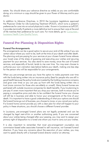estate. You should share your advance directive as widely as you are comfortable doing; at a minimum a copy should be given to your Power of Attorney and to your doctor.

In addition to Advance Directives, in 2010 the Louisiana Legislature approved the Physician Order for Life-Sustaining Treatment (POLST), which turns a patient's preferences for care into an actual physician's order. Known in Louisiana as LaPOST, it provides terminally ill patients a more definitive tool to ensure their care at the end of life matches their preference for such care. For more details, go to: [Consumers -](https://www.lhcqf.org/www.lhcqf.org/lapost/index.html)  [Louisiana Health Care Quality Forum.](https://www.lhcqf.org/www.lhcqf.org/lapost/index.html)

## **Funeral Pre-Planning & Disposition Rights**

#### Funeral Pre-Arrangements

Pre-arrangements can be a good option to secure your end-of-life wishes if you are certain about where you want to be, both at the time of your death and after death. Pre-planning and pre-paying for your services at your chosen funeral home relieves your loved ones of the stress of guessing and executing your wishes and securing payment for your services. You also stand to save money, since the cost of funeral services, and especially of burial, tends to rise over time. You may even choose to authorize your own cremation (see below) before your death, making one less step for the person who will be responsible for your arrangements.

When you pre-arrange services you have the option to make payments over time with the funds being written into an insurance policy (best for people who are still in good health because the policy funds are invested by the holding insurance company and grow over time) or you can pay up front with the funds being written into a trust (more common for those who are elderly or unwell). Many funeral homes are partnered with outside insurance companies for death benefits. If you're planning to pre-pay it's even more important that you shop your services, both to ensure you're paying a competitive price and also to be confident the funeral home you choose will still be in business and able to honor your arrangements at the time of your death. It is important to have a good understanding of what your options are should the funeral home go out of business, you choose to move, or you cancel your policy. If a funeral home cannot provide you with a clear plan for what will happen to your policy in these situations, you should choose a different funeral provider.

In Louisiana, pre-arranged funeral plans are not legally protected and can be changed by legal next-of-kin or another authorizing party. If you are concerned about your wishes being changed after your passing, you may want to assign your primary right of disposition to a loved one whom you trust to carry out your wishes.

It is also important to remember that most pre-arrangement counselors are commission-based sales associates licensed to sell insurance, not licensed funeral directors. If you have any concerns about the execution of your wishes, you may want to speak directly with a licensed funeral director and/or an attorney.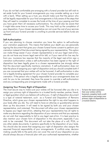If you do not feel comfortable pre-arranging with a funeral provider but still wish to set aside funds for your funeral arrangements you may consider setting up a trust with a bank. When setting up a trust, you should make sure that the person who will be legally responsible for your final arrangements is fully aware of the steps that they will need to complete to access the funds at the time of your passing and that you have given them all necessary authorizations. You should also be aware that it might take some time to access your funds. This may hold up the completion of your disposition, if your chosen representative can not cover the cost of your services up front and your funeral provider is unwilling to provide services before funds are released.

#### Self-Authorization

If you are planning to choose cremation you have the option to self-authorize your cremation paperwork. This means that before your death you are personally signing the document that gives your chosen funeral home consent to perform your cremation instead of that document being signed by your representative. This option can make things easier if your chosen representative is not your legal next-of-kin, you do not have any known legal next-of-kin left, or if your next-of-kin live very far from you. Louisiana law requires that the majority of the legal next-of-kin sign a cremation authorization unless a self-authorization has been signed or the right of disposition has been legally given to a chosen representative (we strongly advise that this document specifically mentions cremation). A self-authorization does not take the place of assigning your right of disposition and you should complete both if you are concerned that your wishes will not be honored. A self-authorization is also not a legally binding agreement for your chosen funeral provider to complete your cremation. If the person who is legally responsible for your arrangements does not wish for you to be cremated, they have the power to override a self-authorization and any corresponding pre-arrangements made with a funeral provider.

#### Assigning Your Primary Right of Disposition

The most secure way to make sure your wishes will be honored after you die is to assign your primary right of disposition to a trusted family member, partner, friend, or legal guardian whom you believe will outlive you. A right of disposition document is a type of notarial testament, such as a Funeral and Disposition of Remains Directive, which gives your chosen representative the right to say what happens to your body after you die. You will need to have an attorney or guardianship service draw up this document. It will need to be signed by both you and your chosen representative, and notarized. This document will allow your chosen representative to bypass your legal next-of-kin, attesting that your representative has all rights to make any decisions regarding the disposition of your remains and that you expressly do not wish that responsibility to fall to any legal next-of-kin. It is best practice to also mention your chosen form of disposition in this document, especially if you wish to be cremated. This document will not take the place of a will, POA, or any other estate documents; it pertains specifically to the disposition of your body. You should also be aware that assigning your right of disposition also assigns the assumed financial responsibility of your arrangements. If conflicts arise, decision making usually falls to the party who can cover the cost of your disposition so you should always discuss a financial plan with your authorized representative, whether

To have the most assurance that your wishes will be honored, complete both a selfauthorization *and* assign your primary right of disposition to a trusted relative.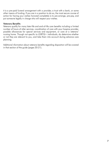it is a pre-paid funeral arrangement with a provider, a trust with a bank, or some other means of funding. If you are in a position to do so, the most secure course of action for having your wishes honored completely is to pre-arrange, pre-pay, and put someone legally in charge who will respect your wishes.

#### Veterans Benefits

Veterans qualify for many later-life and end-of-life care benefits including a limited number of hours of sitter services, coordination of care with your hospice provider, possible allowances for special services and equipment, or care at a veterans' nursing home. Though not specific to LGBTQ+ individuals, do determine whether or not they are relevant to you, and take them into account during advance care planning.

Additional nformation about veterans benefits regarding disposition will be covered in that section of the guide (pages 20-21).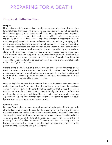# <span id="page-10-0"></span>PREPARING FOR A DEATH

## **Hospice & Palliative Care**

#### **Hospice**

Hospice is a special type of medical care for someone nearing the end stage of an terminal illness. The focus of this care is to help individuals live as well as possible. Hospice care typically occurs in the home but can also happen wherever the patient considers home or in a dedicated hospice care facility. Hospice care focuses on the quality of life of a dying person, including symptom management (such as alleviating pain), coordinating care and communication, including clarifying goals of care and making healthcare and post-death decisions. This care is provided by an interdisciplinary team and includes regular and urgent medical care provided by doctors and nurses, as well as emotional support provided by social workers, clergy, and volunteers. Hospice provides pharmaceuticals, medical equipment, 24/7 access to care, and support for loved ones following a death. Additionally, a hospice agency will follow a patient's family for at least 12 months after death has occured to support the family's bereavement needs and make professional referrals in the case of grief complications.

Despite being a widely available benefit through either private insurance or the Medicare system, hospice is underutilized in the U.S., both because of the general avoidance of the topic of death between doctors, patients, and their families, and because of the constant pace of medical technological advancements and the field's focus on prolonging life, often at all costs.

Hospice eligibility requires documentation from two physicians estimating that a patient has less than 6 months to live. The patient may no longer be receiving certain "curative" forms of treatment; that is, treatment that is meant to cure a disease. For example, a cancer patient may not be eligible for hospice if they are receiving chemotherapy or radiation. Since no doctor can know exactly how long a patient will live, it's important for both patients and doctors to begin to discuss hospice early on in order to maximize this benefit.

#### Palliative Care

Palliative Care is also treatment focused on comfort and quality of life for seriously ill individuals and includes benefits for the patient's family. The main difference between hospice and palliative care is that a patient does not necessarily need to be "actively dying"—or predicted to be within 6 months of death—to receive palliative care. Care can begin at the time of diagnosis and occur when the patient is still receiving "curative" medical treatment. Otherwise, palliative care is very much like hospice care, focused on providing comfort and improving quality of life for the patient and their family, including chosen family.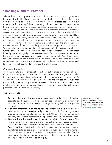### **Choosing a Funeral Provider**

When a loved one is approaching the end of life the time you spend together can be extremely valuable. Though it can be a stressful subject, considering what comes next once your loved one dies can make the funeral process easier and allow more space for grieving. When considering a funeral provider it is important to be aware of your power as a consumer. Prices for services can run high and vary widely among funeral homes and it is worthwhile to compare prices for your desired services from multiple providers. You can expect to pay multiple thousands of dollars even just to take care of the legal essentials, like arranging for disposition and filing a death certificate. Many funeral providers contract third-party services such as offsite crematories, refrigeration, and transportation, so you may pay a surplus to cover their costs. Know that funeral homes are legally obligated to provide you with detailed pricing information over the phone, or a written price list upon request. You may also want to ask members of your community for recommendations of funeral providers with whom they have had a good experience. Though most funeral providers will gladly provide services to any family who contacts them, most have more experience serving a specific cultural community. You should never feel embarrassed to ask a potential funeral provider about their level of cultural competency regarding your specific community or desired services, be they related to religious, racial, gender-identity, or eco-friendly choices.

#### Consumer Protections

The Funeral Rule is a set of federal protections, put in place by the Federal Trade Commission, that protects consumers who are making final arrangements. Under this law, you may price-shop (and are entitled to a free copy of a funeral home's general price list when you ask) and purchase only the services or products that you want. In other words, you can't be forced to have a body embalmed, or to purchase a bundle when you buy something. The Funeral Rule includes the following protections (found on the [FTC's website](https://consumer.ftc.gov/articles/ftc-funeral-rule)):

#### The Funeral Rule

- Buy only the funeral arrangements you want. You have the right to buy separate goods (such as caskets) and services (embalming or a memorial service). You do not have to accept a package that may include items you do not want.
- Get price information on the telephone. Funeral directors must give you price information on the telephone if you ask for it. You don't have to give them your name, address, or telephone number first. Although they are not required to do so, many funeral homes mail their price lists, and some post them online.
- Get a written, itemized price list when you visit a funeral home. The funeral home must give you a General Price List (GPL) that is yours to keep. It lists all the items and services the home offers, and the cost of each one.
- See a written casket price list before you see the actual caskets. Sometimes, detailed casket price information is included on the funeral home's GPL. More often, though, it's provided on a separate casket price list. Get the price information before you see the caskets, so that you can ask about lowerpriced products that may not be on display.

WAKE has priced out funeral services for the Greater New Orleans area. You can view that list at www[.wake.education.](http://www.wake.education/funeral-consumers)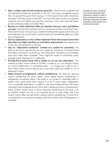- See a written outer burial container price list. Outer burial containers are not required by state law anywhere in the U.S., but many cemeteries require them to prevent the grave from caving in. If the funeral home sells containers, but doesn't list their prices on the GPL, you have the right to look at a separate container price list before you see the containers. If you don't see the lowerpriced containers listed, ask about them.
- Receive a written statement after you decide what you want, and before you pay. It should show exactly what you are buying and the cost of each item. The funeral home must give you a statement listing every good and service you have selected, the price of each, and the total cost immediately after you make the arrangements.
- Get an explanation in the written statement from the funeral home that describes any legal cemetery or crematory requirement that requires you to buy any funeral goods or services.
- Use an "alternative container" instead of a casket for cremation. No state or local law requires the use of a casket for cremation. A funeral home that offers cremations must tell you that alternative containers are available, and must make them available. They might be made of unfinished wood, pressed wood, fiberboard, or cardboard.
- Provide the funeral home with a casket or urn you buy elsewhere. The funeral provider cannot refuse to handle a casket or urn you bought online, at a local casket store, or somewhere else — or charge you a fee to do it. The funeral home cannot require you to be there when the casket or urn is delivered to them.
- Make funeral arrangements without embalming. No state law requires routine embalming for every death. Some states require embalming or refrigeration (Louisiana does) if the body is not buried or cremated within a certain time; some states don't require it at all. In most cases, refrigeration is an acceptable alternative. In addition, you may choose services like direct cremation and immediate burial, which don't require any form of preservation. Many funeral homes have a policy requiring embalming if the body is to be publicly viewed, but this is not required by law in most states. Ask if the funeral home offers private family viewing without embalming. If some form of preservation is a practical necessity, ask the funeral home if refrigeration is available.

Though the term "caving in" may sound alarming, many cemeteries require a vault to help counteract the natural settling of land that has been disturbed, which makes lawn maintenance easier.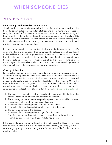# <span id="page-13-0"></span>WHEN SOMEONE DIES

# **At the Time of Death**

#### Pronouncing Death & Medical Examinations

The circumstances surrounding a death will determine what happens next with the body. If a person is elderly, with a history of illness, and dies at home or under hospice care, the coroner's office may not order a medical examination and the family will be directed to contact a funeral home to make arrangements for disposition. This is a critical time to consider cost since funeral homes have widely different pricing for similar services and once the body has been taken into the care of a funeral provider it can be hard to negotiate cost.

If a medical examination is required then the body will be brought to that parish's coroner's office and an autopsy will be performed. The autopsy is usually conducted fairly quickly so it's possible to proceed with funeral services. However, the results from the labs taken during the autopsy can take a long time to process and it can be many weeks before the autopsy report is available. This can cause long delays in the issuing of a death certificate which can in turn cause delays in settling an estate since a death certificate is necessary for many of these steps.

#### Custody of Remains

Louisiana law requires that a licensed funeral director be hired to oversee disposition. Therefore, once a person has died, their loved ones will need to contact a chosen funeral provider to take custody of their remains. In order to release a deceased person to a funeral provider you must have legal claim to their remains. Unless the right of disposition has been given to a chosen representative before the decedent passed, legal claim to their remains falls to their legal next-of-kin. Here are the first seven parties in the legal order of next-of-kin (from the [Louisiana State Legislature\)](https://www.legis.la.gov/Legis/Law.aspx?d=106436):

- 1. The person designated to control disposition by the decedent in the form of a notarial testament or a written and notarized declaration
- 2. The surviving spouse, if there is no pending petition for divorce filed by either spouse prior to the death of the decedent spouse
- 3. A majority of the surviving adult children of the decedent
- 4. A majority of the surviving adult grandchildren of the decedent
- 5. The surviving parents of the decedent
- 6. A majority of the surviving adult siblings of the decendent
- 7. A majority of the surviving adult persons respectively in the next degrees of kindred, as established in Civil Code Article 880 et. seq

If the deceased was unmarried, widowed, or divorced, the next-of-kin can sometimes refer to multiple individuals (e.g. multiple children, parents, or siblings) in which case the group may choose to recognize a "primary next-of-kin" to be the main point of contact.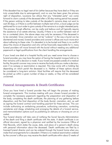If the decedent has no legal next-of-kin (either because they have died or if they are truly unreachable due to estrangement), and no one has been given the primary right of disposition, Louisiana law allows that any "interested party" can come forward to claim custody of the deceased after a 30-day waiting period has passed. If the person wishing to take custody of the decedent's remains does not want to wait 30 days, or if there is conflict between multiple next-of-kin, a local judge can be petitioned for a court order to give custody of the remains to a single interested party. This process, though effective, can be costly and tedious and will typically require the assistance of an estate attorney. Usually, if there is no conflict between next of kin or contested claim, the above steps may only be necessary if the deceased is to be cremated. Since cremation can not be "undone'' in the way a burial can be disinterred and moved, funeral providers and coroner's offices are much more strict about adhering to these rules. If a decedent is to be buried and there is no conflict about the choice of disposition and who will be financially responsible for it, many funeral providers will move forward with the burial without needing any additional paperwork or legal qualifications from the client handling the arrangements.

If your loved one died at a hospital facility and you need some time to choose a funeral provider, you may have the option of having the hospital morgue hold on to their remains until a decision is made. If your loved one passed outside of a medical facility, the parish coroner may come to receive the body while you make a decision, even if no autopsy or examination is required. This may come with a holding fee depending on which parish the deceased is in. Neither of these options should be considered a long-term solution. Most facilities will require that the deceased be picked up within a given number of days or weeks, or they will be considered unclaimed.

### **Funeral Arrangements & Death Certificates**

Once you have hired a funeral provider they will begin the process of making funeral arrangements. This involves meeting with your chosen funeral provider to complete the necessary paperwork regarding the preparation and disposition of the body, completing the death certificate, the planning of any gathering before disposition, and the final disposition of the body (burial, cremation, etc), as well as signing the funeral contract and handling payment for these services. This can include authorizing an embalming procedure, authorizing cremation, contacting cemeteries and clergy, scheduling and arranging the details of a funeral service, and memorialization options such as publishing an obituary or choosing an urn or casket.

Your funeral director will take care of notifying the Social Security Administration of the death and filing a death certificate with the state. A death certificate is an official document, signed by a physician and certified by the Louisiana Office of Vital Records, which states the cause, date, and place of a person's death along with personal information about the deceased. Death certificates are filed by a licensed funeral director and can be ordered through the funeral home when you make final arrangements for a decedent. If there is no medical examination ordered by the coroner's office you may receive the death certificate within about 2 weeks of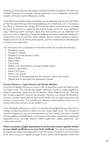ordering once the physician has signed and they have been brought to the state to be certified. However, if an autopsy is being performed or an investigation conducted, a death certificate may be delayed by months.

Once filed and certified, death certificates can be obtained directly from the Office of Vital Records or through vital record websites such as VitalChek.com. In Louisiana, the Office of Vital Records charges \$9 for the first death certificate (which includes the Burial Transit Permit needed by the funeral home) and \$7 for every additional copy. Obtaining death certificate copies from third parties such as VitalChek.com may come with a higher fee. The person ordering the death certificate outside of a funeral home must provide their name, address, phone number, and show a state or federal photo ID (which will be photocopied), and their relationship to the deceased is noted on the application.

The information that is requested on the death certificate includes the following:

- Decedent's name
- Decedent's address
- Decedent's social security number
- Date of death
- Date of birth
- City of birth
- Mother's full name before marriage (maiden name)
- Mother's city of birth
- Father's full name
- Father's city of birth
- Occupation of the deceased and the industry in which they worked
- Highest level of education the deceased achieved

#### Chosen Names vs. Legal Names and Gender Markers

If you did not legally change your name in life, all legal documents will need to have your legal name. This includes your death certificate, insurance, estate paperwork, medical paperwork, paperwork for US Veterans Affairs Department, etc. This may also include paperwork done by the cemetery. However, you should be allowed to have your chosen name listed on your burial marker. All non-legal documents may use your chosen name. This includes your obituary, memorialization items such as funeral stationery, and your burial marker or urn.

If you did legally change your name, it is strongly encouraged that you take time to change all legal documents to reflect your new chosen legal name. This includes all insurance paperwork, any pre-arrangements you have made, your driver's license and any additional identification, your banking information, government paperwork (especially social security), Veterans Affairs paperwork, estate paperwork, and medical documents.

There is currently no legal requirement to use the same name or gender marker on your death certificate as on your birth certificate. The person handling your arrangements needs to be prepared to make this known and be firm with the funeral home about using your legally-changed chosen name and the gender marker that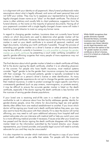is in alignment with your identity on all paperwork. Many funeral professionals make assumptions about what is legally allowed, and some will exert personal bias and not fulfill your wishes. They may try to appease your representative by listing your legally-changed chosen name as an "alias" on the death certificate. The choice of name is often arbitrary and usually falls to client preference, suggestion from the funeral director, or the name on the majority of personal documents. Having all of your paperwork consistent with a single legally-changed chosen name will make it hard for a funeral director to insist on using any former name.

In regard to changing gender markers, Louisiana does not currently have formal criteria on which documents are used to determine what gender marker will be listed on a death certificate. However, the best way to ensure that the correct gender marker is used on your death certificate is to amend all personal, medical, and legal documents, including your birth certificate if possible. Though the process of amending your gender marker on a driver's license or other personal documents may be less difficult, currently in Louisiana [it is only possible to change the gender](https://www.latransadvocates.org/resources)  [marker on a birth certificate](https://www.latransadvocates.org/resources) by presenting a court order certifying completion of specific gender-affirming surgeries that many people of trans experience may not want or have access to.

The final decision about which gender marker is listed on a death certificate will likely fall to the doctor signing the death certificate, whether it is an attending physician or the coroner. For people who have health insurance, most medical systems consider "legal" gender to be the gender their insurance company has associated with their coverage. For uninsured patients, gender is typically considered to be whatever is listed on a person's driver's license or state identification. As many people of transgender experience do not opt to change the gender associated with their medical insurance, in order to protect coverage for organ-specific care that is unnecessarily gendered (such as pap smears, mammograms, or prostate exams), it may be difficult to ensure the accurate gender marker is listed on the death certificate, especially if the doctor signing the death certificate is less familiar with the nuances of serving gender-diverse populations.

If your loved one is receiving end-of-life care in a medical setting, it can be worthwhile to ask in advance about how the facility addresses gender identity for gender-diverse people, since the criteria for documenting legal sex and gender identity often differs from one medical establishment to another. If you know which doctor will be signing your loved one's death certificate before they pass, you may also want to have this discussion with them directly. If it is clear the doctor will not be affirming, you may need to call upon additional advocacy from hospital staff and patient advocates who can intervene with medical staff or help you switch your care to a more affirming medical provider if necessary. If issues arise after your loved one has passed and the doctor signing the death certificate disagrees with the gender marker listed on the information submitted by the funeral director, your chosen representative, your funeral provider, and possibly legal council will need to actively advocate for you and they may be unsuccessful.

It is also important to consider which institutions will require a copy of your loved one's death certificate as you settle their estate. For people with life insurance While WAKE recognizes that gender diversity expands beyond the binary, currently Louisiana does not legally recognize non-binary identity on any legal documents and does not have the option to list "X" gender marker on a birth certificate or driver's license, even if it is listed on a federally issued passport.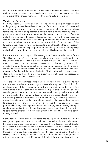coverage, it is important to ensure that the gender marker associated with their policy matches the gender marker listed on their death certificate, as discrepancies could prevent their chosen representative from being able to file a claim.

#### Viewing the Deceased

For many people, viewing the body of someone who has died is an important part of the grieving process. Regardless of the type of disposition chosen, if a deceased person's body is in good condition, funeral providers should have several options for viewing. If a family or representative wants to have a viewing that is open to the public most funeral providers will require embalming as company policy. This is to make the transporting of the deceased easier and to ensure that the experience goes well, as most people are not used to seeing an unembalmed body. It is important to know that embalming is not required by law even if it is "company policy." If a funeral provider does not have the facilities to offer refrigeration they may pressure clients to agree to embalming, or perform an embalming procedure before getting authorization. If you did not authorize embalming, this charge can be refused.

If a decedent is not having a public viewing your funeral provider may offer an "identification viewing" or "ID" where a small group of people are allowed to view the unembalmed body after it is removed from refrigeration. This is a common option if a person is to be cremated, however, it can also be a good option for decedents who are to be buried but are not having a public service or if the casket will remain closed for the service. Your funeral provider may perform "minimum preparation" of the body before an ID viewing. This includes bathing the deceased, closing the eyes and mouth, and other grooming to make sure the deceased is presentable with minimally invasive care.

There are some circumstances where a funeral provider may not allow you to view the deceased or will require you to sign a waiver releasing them of any liability for emotional trauma. If the deceased was found in an advanced stage of decomposition, was involved in an accident or crime that caused great physical trauma, or has a very dangerous disease that can be spread after death, viewing the body, especially if it is unembalmed, will be highly discouraged and may require legal intervention. If a funeral provider is not willing to assume the liability for allowing a viewing in one of these circumstances they may release custody of the deceased and ask you to choose a different provider (though may still require that you pay for all services performed by them, including transportation and storage, before release). Though it can be very upsetting to be told you should not view your loved one, it is important to consider the emotional toll that seeing them in this condition may take before moving forward.

Caring for a deceased loved one at home and having a home funeral have had a resurgence in popularity recently. Home funerals are technically legal in Louisiana, however, since a body must remain in the custody of a licensed funeral director at all times, it's necessary to find a funeral director willing to oversee the home funeral and agree to their fee. Keep in mind that you may also need to pay for transportation since they may require that the body be refrigerated between viewing times (i.e. at night). By law, a body must be embalmed or refrigerated at a temperature not to exceed 45 degrees Fahrenheit (in a refrigeration unit or by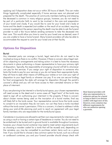applying ice) if disposition does not occur within 30 hours of death. This can make things logistically complicated especially if home services were not planned and prepared for the death. The practice of community members bathing and dressing the deceased is common in many religious groups, however, you do not need to be part of a particular faith to want to be involved in the care and preparation of your loved one's body. If you would like to care for your loved one's body at home and the death is expected (not sudden or the result of an accident, requiring coroner investigation) the person reporting the death may be able to ask the funeral provider to wait a few hours before sending someone to take the deceased into their care. This would allow you time to care for your loved one as desired, even if you are unable to have a home funeral. Many funeral providers will also be able to accommodate the request to care for your loved one at their facility.

### **Options for Disposition**

#### Burial

Any interested party can arrange a burial, legal next-of-kin do not need to be involved as long as there is no conflict. However, if there is concern about legal nextof-kin objecting to arrangements and taking action it is best to have the necessary documents in place authorizing a chosen representative to have your primary right of disposition. Typically, the responsibility of arranging a burial will fall to whomever can pay for the services. If you assign your right of disposition to someone who lacks the funds to pay for your services or you do not leave them appropriate funds, they will have to seek other means of fulfilling your wishes or turn over your right of disposition to your legal family or whoever can pay. If no one can secure funding for final arrangements the state will arrange for disposition (through the parish's coroner's office) and you will not have access to their cremated remains or their place of interment.

If you are planning to be interred in a family burial space, your chosen representative will need access to the deed and in some cases all "legal heirs" of the tomb may need to sign off on authorizing your interment in the property. If there is concern about chosen names being used on the inscription of a burial marker, final say will likely fall to the tomb owner. Your representative cannot force the tomb owner to consent to an inscription they do not want, nor can they have a tomb inscribed without the tomb owner's permission. If this is a concern, it is best to address it while doing your end-of-life planning and work to reach an agreement with your legal family members who are responsible for the tomb/burial space.

Cemeteries in Louisiana are allowed to set their own requirements for interment, such as using a vault or having a certain type of headstone or marker. You do not need to be embalmed to be buried and in-ground burial is available throughout Louisiana, however, your chosen burial container may need to meet certain requirements (such as choosing a wooden casket for a tomb that will be reused) and, depending on the cemetery, you may be compelled to purchase certain items such as a grave liner. If you would like to choose a less common option for burial, such as a shroud or cardboard container, you and your funeral provider should always check with

Most funeral providers will allow any representative to authorize and pay for a burial as long as there is no obvious conflict with legal next-of-kin. However, every cemetery has different requirements for who can authorize opening a gravesite.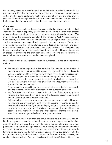the cemetery where your loved one will be buried before moving forward with the arrangements. It is also important to note that you are not required to purchase a casket or other burial container directly from a funeral provider and may provide your own. When shopping for caskets, keep in mind the requirements of your chosen burial space, the size and weight of the deceased, and the shipping time.

#### **Cremation**

Traditional flame cremation is the most popular method of disposition in the United States and has risen in popularity greatly in Louisiana. During the cremation process a deceased person is placed in an individual retort, which is heated to about 1500 degrees. Once the process is completed, the remaining "ash," made mostly of bone mineral, is crushed into a powder and any foreign objects such as screws from surgical procedures are removed and disposed of as medical waste. The amount of cremated remains that will be returned greatly depends on the height and bone density of the deceased, not necessarily their weight. Louisiana has strict guidelines for who can authorize a funeral provider to perform cremation. However, the person in charge of authorizing the cremation can name someone else to receive the cremated remains once the process has been completed.

In the state of Louisiana, cremation must be authorized via one of the following options:

- The majority of the legal next-of-kin must sign the cremation authorization. If there is more than one next-of-kin required to sign and the funeral home is unable to get sign-off from the majority of the next-of-kin, the person responsible for the arrangements may need to pursue another option for authorization.
- A person chosen by the deceased to be their "authorized representative" via legal paperwork may authorize cremation (this document may need to specifically mention cremation).
- A representative who petitioned for a court order from a judge to have custody and the remains and the right of disposition may authorize cremation.
- Any "interested party" who can cover the financial cost of disposition may come forward and take custody of the remains if a deceased person is unclaimed after 30 days, and may authorize cremation.
- Before death you may pre-arrange and authorize your own cremation. However, in Louisiana pre-arrangements and self-authorizations for cremation can be overturned by next-of-kin if you did not legally assign a chosen representative to have your primary right of disposition. Also, a funeral home will need to speak to a living representative to handle the paperwork after the death occurs, even if you pre-arrange and self-authorize your cremation.

Issues tend to arise when: more than one group wants to have the final say; next-ofkin do not agree on cremation vs. burial; a person was not legally married but their domestic partner or trusted friend wants to handle the cremation and the proper paperwork is not in order; if legal next-of-kin are estranged and cannot be reached or are not agreeable; or the deceased does not have any remaining legal next-ofkin or state guardian, and did not put proper paperwork in place before death. If a disagreement arises, the best remedy is to petition for a court order; however, this can be costly and tedious. You may also choose to wait the 30 days, but this allows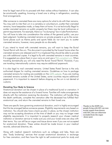time for legal next-of-kin to proceed with their wishes without hesitation. It can also be emotionally upsetting, knowing a loved one is sitting in refrigeration, awaiting final arrangements.

After someone is cremated there are many options for what to do with their remains. You may wish to inter their urn in a cemetery or columbarium, scatter their cremated remains, have keepsakes made, or keep them at home. It is not technically illegal to scatter cremated remains on public property but there may be local ordinances or permit requirements. For example, there is a "no dumping" law in Lake Pontchartrain. You will have to take into consideration the wishes of the general public; use your best judgment. Scattering cremated remains on private property is up to the owner. Some places such as theme parks and sports fields do not want you to scatter cremated remains, however, many people do so discreetly.

If you intend to travel with cremated remains, you will want to keep the Burial Transit Permit with the urn. This document is provided by the funeral home when the cremated remains are released and if it is misplaced they should be able to provide you with additional copies. It is legal to fly with cremated remains in most countries. It is suggested you place them in your carry-on and use a [TSA-compliant urn](https://www.tsa.gov/travel/security-screening/whatcanibring/items/cremated-remains). When traveling domestically you will only need the Burial Transit Permit. However, if you are traveling internationally customs may require additional paperwork.

It is also legal to mail cremated remains. United States Postal Service is the only authorized shipper for mailing cremated remains. Guidelines on how to package cremated remains for mailing are available on the [USPS website](https://about.usps.com/newsroom/cremated-remains.htm?_gl=1*1uqj66g*_ga*MTg5MDY5MjAuMTY0ODIxOTk0Nw..*_ga_3NXP3C8S9V*MTY0ODIxOTk0Ny4xLjEuMTY0ODIxOTk3Ny4w). If you are mailing cremated remains outside of the United States, some countries require additional paperwork. It is important to research before shipping so the urn is not denied at customs.

#### Donating Your Body to Science

Anatomical donation can be chosen in place of a traditional burial or cremation. It does not require the assistance of a funeral home. Families will make arrangements directly with the institution receiving the donation. The institution will handle filing the death certificate, complete the cremation after the deceased has fulfilled their anatomical use, and return the cremated remains to their loved one.

There are specific laws governing anatomical donation, and it is highly encouraged that this be arranged before someone passes. Eligibility requirements vary based on institution. You should also have a back-up plan in place, as the chosen institution may not be accepting donations at the time of death or you may no longer meet eligibility requirements. It is important to properly research your chosen medical institution or donation service to make sure you and your loved ones are okay with their terms. You can still be an organ and tissue donor even if you are not accepted for anatomical donation. These wishes should be made known in your medical records, advanced directive, etc.

Along with medical research institutions such as colleges and labs, there are also "body brokering" services that accept anatomical donations in exchange for free cremation, and then have the right to sell anatomical parts for study and

Thanks to the HOPE Act, people living with HIV can now accept organs from donors with HIV, who are otherwise excluded from the organ donor pool.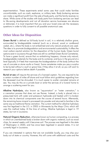experimentation. These experiments entail some uses that could make families uncomfortable, such as crash, explosive, or military tests. Body brokering services can make a significant profit from the sale of body parts, and the family receives no share. While some of the studies with body parts from brokering services can lead to life-saving developments and not all donation service businesses are abusive or dishonest, it is most important that you and your loved ones ask the necessary questions in order to fully consent to all possible anatomical uses.

### **Other Ideas for Disposition**

Green Burial is defined as full-body burial in soil, in a relatively shallow grave, surrounded by biodegradable material (such as a shroud, wood or cardboard casket, etc.), where the body is not embalmed and only natural products are used. The idea is to promote biodegradation and environmental sustainability. It offers the most carbon-neutral solution for the disposition of the human body. Green burial options exist in Louisiana though there are still no certified Green Burial Cemeteries. To have a green burial, ensure that no embalming happens, choose only natural, biodegradable materials for the body and its container, and bury in the ground at a level (typically 3-4 feet) that maximizes the biodegradation of the body (without the use of concrete or stone vaults or liners). Some cemeteries make you pay a surplus to be buried without a vault or grave liner, if they allow it at all, so you will want to research your options before death if possible.

**Burial at sea** will require the services of a licensed captain. You are required to be a certain number of miles off shore and must follow strict guidelines regarding how the deceased must be shrouded. It is much easier to scatter cremated remains at sea. You may do this on a private boat or enlist the services of a funeral home to arrange a scattering event for you.

Alkaline Hydrolysis, also known as "aquamation" or "water cremation," is a cremation process that does not use flames. Instead, a body is placed into a pressurized tank with water and potassium hydroxide and heated until it is broken down into its chemical components over the course of several hours. Afterwards, the remaining bone mineral is processed into powder and returned to families in the same way as traditional flame cremation. The current method for alkaline hydrolysis was first legalized in the U.S. in 2005 in Minnesota by the Mayo Clinic which still uses this method today. At the time of writing, Alkaline hydrolysis is legal in 19 states, but not in Louisiana.

Natural Organic Reduction, otherwise known as human composting, is a process in which an unembalmed body is broken down with organic material, such as wood chips, for several weeks until it becomes soil. The process was legalized in the state of Washington in 2020, and has since been legalized in several states. It is not currently legal in Louisiana.

If you are interested in options that are not available locally, you may ship your body out of state or country. However, this will come with additional costs and the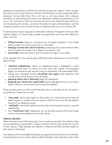additional transportation involved will make the process less "green." Note, though, that while some funeral directors will claim that the body must be embalmed before shipping it across state lines, this is not true as one may always claim religious exemption to embalming and insist on an alternative method of preservation, such as ice. You will have to take into account the laws of any states through which you are transporting the remains, as well as the states of origin and destination, and the company policies of any funeral homes or shipping services you're working with.

Funeral directors report requests for alternative methods of disposition that are often explicitly illegal, or if technically possible are logistically and financially difficult to attain, such as:

- Viking funerals (open-air cremations are not legal anywhere in the United States except for a small community in Colorado),
- keeping a loved one's skull or bones (possessing any human remains other than the ashes of a loved one is illegal in Louisiana), and
- sky burials where the body is fed to animals (not legal in any state).

Some requests that may require great difficulty and/or expense but are technically legal include:

- "extreme embalming" where an embalmed body is displayed in some unconventional pose, i.e. sitting on a bar stool with a glass of champagne (legal, but expensive and requires hiring an embalmer with specialized skills),
- having your cremated remains launched into space (very expensive and usually only a small portion of the remains),
- pressing ashes into a diamond (legal but expensive),
- keeping your loved one's gold teeth (technically legal but you must find a dentist willing to remove them and accept the liability).

There are also options on the market that seem like a novel idea but do not perform as advertised. These may include:

- "tree pods" (technically legal but the product for whole body burial has not been brought to market and may require unethical trauma to the deceased's body such as breaking bones),
- "reef balls" (memorial reefs do exist but their environmental impact is not well understood),
- and "mushroom suits" (expensive, do not actually process the human body, and are of questionable environmental value).

#### Veterans Benefits

When looking at end-of-life planning, if your loved one served in the military, there are considerations and benefits a veteran and their family would qualify for as part of their service. These benefits are offered to veterans and their families based on their status at discharge.

Any veteran with an honorable discharge can apply for burial and survivors' benefits, including those who have their dishonorable discharge overturned due to the unfair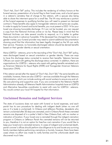"Don't Ask, Don't Tell" policy. This includes the rendering of military honors at the funeral service, presentation of a burial flag to their loved ones, and a burial space in a veteran's cemetery free of charge to the veteran, with a spouse also being able to share the interment space for a small fee. The VA may reimburse a portion of the funeral expenses to qualifying families (you will need to present an itemized contract.) These benefits also apply to transgender veterans and same-sex couples. In order to apply for funeral and burial benefits, you must present a DD2-14 for your loved one showing honorable discharge. If it can not be located, you can request a copy from the National Archives online or via fax. Please keep in mind that the National Archives can take several months to respond, so it is better to gather these documents in advance if possible. If the deceased has changed their name or gender marker, your funeral provider may need to submit additional documentation showing proof that the information has been legally changed so the VA can verify their service. However, no honorably discharged veteran should be denied benefits based on their gender identity or sexual orientation.

Many LGBTQ+ veterans, prior to the rescinding of the "Don't Ask, Don't Tell" policy, were discharged based on sexual orientation or gender identity. There are ways to have this discharge status corrected to receive their benefits. Veterans Services Officers can assist with getting the discharge status corrected. In addition, there are organizations for LGBTQ+ veterans who assist with getting benefits reinstated such as American Veterans for Equal Rights (AVER) and Transgender American Veterans Association (TAVA).

If the veteran served after the repeal of "Don't Ask, Don't Tell," the same benefits are available; however, there are also LGBTQ+ services available through the Veterans Administration, which can include working with social workers to ensure any end-oflife care planning and supportive care. If you are connected to the Veterans Health Administration already, all Veterans Health Administration hospitals have an LGBTQ and Alternative Sexualities coordinator to assist with care for LGBTQ+ veterans. You would contact your local VA hospital for that information.

# **Unclaimed Remains and Indigent Services**

The state of Louisiana does not assist with funeral or burial expenses, and each parish has its own procedure for dealing with indigent death (when no one will pay or if a body is unclaimed). In Orleans and Jefferson Parishes, decedents who remain unclaimed after 30 days are cremated, and in Orleans Parish these cremated remains are disposed of in a potter's field in New Orleans East, with no marker or indication of location. If your loved one is cremated through the indigent cremation program in Orleans or Jefferson Parish the cremated remains will not be returned to you, therefore it is not an option for free/low cost cremation if you would like to keep your loved one's cremated remains. In cases of indigent and unclaimed death, parish coroner's offices should perform due diligence to try and locate any surviving family members before performing cremations or burials, however, there have been cases where no effort was made to notify families and the unfortunate death was discovered much later.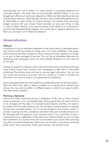Unsurprisingly, the cost of death is a major barrier to accessing deathcare for unhoused people, and those who are economically disenfranchised. If you are struggling to afford your loved one's disposition, Wake and other deathcare services may be able to help you. Many families choose to use crowdfunding platforms such as GoFundMe to raise money for funeral services. It is always worth discussing budget concerns with your chosen funeral provider, as some are willing to help in cases of need. Likewise, if you become aware of the death of an unhoused or economically disenfranchised neighbor and would like to organize deathcare for them you can reach out to Wake for assistance.

## **Memorialization**

#### **Obituary**

An obituary can be an important keepsake for the loved ones of a deceased person and may be worth the trouble of writing, even if it's never published in the paper. Most funeral homes offer to publish a client's obituary on their website at no charge or as part of their package of services. This can be an affordable alternative to publishing in the newspaper, which can cost hundreds of dollars to run for only one or two days.

Anyone can publish an obituary, with or without funeral home involvement (although some funeral homes have contracts with newspapers to offer free or discounted publishing).The obituary does not have to use any legal information. You can use any name and pronouns you'd like, and can choose to include or exclude any information you want as long as it is appropriate for publishing.

Some newspapers take issue with publishing multiple obituaries for the same person. They are within their right to refuse to publish or to decide which obituary they choose. You may wish to publish in a different paper or online if you suspect conflict with other family members.

#### Planning a Memorial

Anyone can hold a memorial service or celebration of life, with or without funeral home involvement. If an uncremated body will be present then the event will have to be arranged with the help of a licensed funeral director and they will need to be present with the body. However, you do not need a funeral director to arrange services with cremated remains. An urn can be brought to any location, public or private, including churches, cemeteries, and event halls, and cremated remains can be disbursed with the approval of the property owner. If you would like to plan a memorial service or celebration of life without any remains present you do not need the involvement of a funeral home and can proceed as you would when planning any other non-death related event. Memorials can be held in many places including public parks, bars, restaurants, hotels, event venues, and private homes.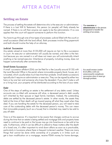# AFTER A DEATH

### <span id="page-25-0"></span>**Settling an Estate**

The process of settling the estate will determine who is the executor or administrator. If there is a Last Will & Testament, this person (or people) will likely already be named. If there is no will then anyone can apply to be the administrator. If no one applies then the court will appoint someone to perform this function.

You have to go through one of two types of processes: judicial (filed with the court) or small succession (filed with the land office). Both processes involve filing paperwork and both should involve the help of an attorney.

#### Judicial Succession

Any estate valued at more than \$125,000 will require an heir to file a succession in court. An executor or administrator will usually be named, and often is the heir. Just because you are named in a will does not mean you will automatically inherit anything or be named executor. Inheritance of property, including money, does not happen automatically after someone dies.

#### Small Estate Succession

A small succession affidavit (SSA) can be filed for a fee (usually around \$135) with the Land Records Office in the parish where immovable property (land, house, etc.) is located, which usually takes much less time than probate. Small estate successions typically don't require an administrator or executor. They can be signed by either two heirs or by one heir and someone who knew the decedent. If you don't make a will or a living trust, your property will be distributed according to the laws of your state.

#### Debt

One of the steps of settling an estate is the settlement of any debts owed. Unless accounts are co-titled with someone still alive, a deceased person's debt usually isn't inherited by their spouse or legal family members. Instead, the outstanding debts are settled by the deceased person's estate. In other words, the assets they held at the time of their death will go toward paying off what they owed when they died. If you are handling the estate for the deceased person, you will need to take care of the outstanding debts with the deceased person's money. This can mean that immovable property (such as a house) that is inherited may need to be sold to pay off debt.

Time is of the essence: It's important to be aware that charges continue to accrue during the time that an estate is being settled and mortgage bills and property taxes need to continue to be paid or the house may go into foreclosure or be sold at tax sale. Furthermore, while it can be difficult to attend to these matters after the death of a loved one, it's often important to wind down affairs as soon as is practicable, particularly in Louisiana where there is frequent inclement weather. There are many things that cannot be done while ownership of a property is in limbo such as: get a loan modification on a mortgage, receive FEMA money for home damage, The **executor** or **administrator** is the person designated to handle the settling of an estate.

For small estates (under \$125,000) a will can unnecessarily complicate succession since it must go through probate.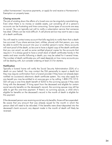collect homeowners' insurance payments, or apply for and receive a Homeowner's Exemption on property taxes.

#### Closing accounts

The job of winding down the affairs of a loved one can be singularly overwhelming. Even when there is no money or sizable assets, just canceling all of a person's accounts can be frustrating and time-consuming. Some types of accounts are easy to cancel. You can typically just call to notify a subscription service that someone has died. Others can be more difficult. A cell phone service may want to see a copy of a death certificate.

You will need to contact every account that bills regularly to notify them that a death has occurred. If you share services (rent, utilities, phone) with that person, you may be able to switch the account into your or another person's name. Many accounts will want proof of the death, so be sure to have a digital copy of the death certificate that you can email, as well as some certified physical copies for the accounts that require it. It is always good to have a small stack of death certificates handy in the weeks and even months following a death; you may be asked for it several times. The number of death certificates you will need depends on how many accounts you will be dealing with, but consider ordering at least 3-5 for starters.

#### **Notification**

Typically a funeral home will notify the Social Security Administration (SSA) of a death on your behalf. You may contact the SSA personally to report a death but they may require confirmation from a funeral provider if they have not already been notified via Louisiana's electronic death certificate system. You may also apply for any benefit you may be entitled to at www.ssa.gov or by calling 1-800-772-1213. SSA will pay a one-time death benefit of \$255 to the surviving spouse if they were living with the deceased. If living apart from the deceased and eligible for certain social security benefits on the deceased's record, the surviving spouse may still be able to get this one-time payment. If there's no surviving spouse, a child who's eligible for benefits on the deceased's record in the month of death is eligible for this payment.

If the deceased person was receiving social security benefits, those will be suspended. Be aware that any amount that was already issued for the month in which the person died will need to be refunded. If the benefits were direct-deposited into the deceased's bank account, any deposit made in the month of death will likely be reversed.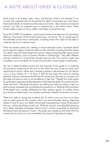# <span id="page-27-0"></span>A NOTE ABOUT GRIEF & CLOSURE

Grief comes in all shapes, sizes, colors, and textures. Grief is not sickness; it is a normal and important part of processing the death of someone you care about. Marking the death of a loved one with some sort of event—like a funeral or memorial service—can play an important part in transitioning to life without them. These rituals create a space to honor, reflect, and begin to accept the loss.

Since the COVID-19 pandemic, many funeral homes have become accustomed to offering a live stream of the funeral service (e.g. via Zoom). This is a great way for the extended community to participate, including those who might not be able to make the trip to an in-person event.

There are several options for creating a virtual memorial online. Facebook allows you to appoint a legacy contact for after you die, and if the company becomes aware of a death, they will memorialize that account. Many companies offer robust online memorial platforms, such as Forever Missed or GatheringUs. They offer different services, usually for a nominal fee, though some are free. This can be a great way to publicly mourn the death of a loved one and allow many people to participate.

We are a death-avoidant society and the purpose of this guide is to embrace the process of preparing for the end so that when the time comes we have more opportunity to mourn, rather than immerse ourselves in the business of it all. Recent [research](https://psycnet.apa.org/record/2013-03837-001) (e.g. Norton, M. I., & Gino, F. (2014)) has shown the value of creating personal rituals to commemorate the loss of a loved one. Grieving is a process, one that does not have an end; is not something to "get over." People who make space for grief report experiencing less depression following the death of a loved one than those who don't. Individual and group counseling can help by making us feel our grief is being witnessed and normalizing the process for us. Marking the anniversary of the death with a simple, deliberate act (like visiting a grave, or a place where your loved one liked to go), can actually contribute to healthy emotional outcomes.

There is no right or wrong way to grieve, but it's vital to carve out time in our busy lives to make space for this process, which can be emotionally healing. Preparing ahead of time for your own death will provide those grieving a sense of assurance that your wishes are being carried out. While we may be uncomfortable planning for it, death inevitably will happen. Set as much in motion as possible so that those left behind have the space to mourn. This guide was created so that when the time comes and we are at our most vulnerable, the process of grieving can begin.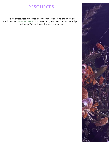# RESOURCES

<span id="page-28-0"></span>For a list of resources, templates, and information regarding end-of-life and deathcare, visit [wwww.wake.education](https://www.wake.education/). Since many resources are fluid and subject to change, Wake will keep this website updated.

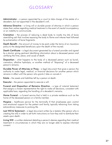# GLOSSARY

<span id="page-29-0"></span>Administrator - a person appointed by a court to take charge of the estate of a decedent, but not appointed in the decedent's will.

Advance Directive - a living will or durable power of attorney in which a person states their wishes regarding medical treatment in the event of mental incompetency or an inability to communicate.

Cremation - the process of reducing a dead body to mostly tiny bits of bone resembling ash that involves exposing the body to flame and intense heat followed by pulverization of bone fragments.

**Death Benefit** - the amount of money to be paid under the terms of an insurance policy to the designated beneficiary upon the death of the insured.

Death Certificate - a legal document generated by a funeral provider and signed by a doctor, giving pertinent identifying information about a deceased person and certifying the time, place, and cause of death.

**Disposition** - what happens to the body of a deceased person such as burial, cremation, alkaline hydrolysis, or another method of "disposing" of a deceased person's remains.

Durable Power of Attorney or Proxy - a legal document that gives a person the authority to make legal, medical, or financial decisions for another person which remains in effect until the person who grants it dies or cancels it.

**Estate** - the assets and liabilities left by a person at death.

**Executor** - the person appointed to execute a will.

Funeral and Disposition of Remains Directive - a type of notarial testament that assigns a chosen representative the right to make all decisions, consistent with applicable laws, regarding the handling of a decedent's remains.

Home Funeral - a funeral service that is held in a private residence such as the home of the deceased person or a family member.

Hospice - healthcare service for the terminally ill that emphasizes pain control and emotional support for the patient and family, typically refraining from taking extraordinary measures to prolong life.

Last Will & Testament - a legal document written by a testator (the person who is creating the will) in order to set forth instructions on how they wish to distribute their assets upon death.

Living Will - a written statement detailing a person's desires regarding their medical treatment in circumstances in which they are no longer able to express informed consent.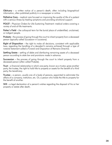**Obituary** - a written notice of a person's death, often including biographical information, often published publicly in a newspaper or online.

Palliative Care - medical care focused on improving the quality of life of a patient with a serious illness by treating symptoms and providing emotional support.

POLST - Physician Orders for Life-Sustaining Treatment: medical orders covering a variety of end-of-life treatments.

Potter's Field - the colloquial term for the burial place of unidentified, unclaimed, or indigent people.

**Probate** - the process of going through the court to inherit property from a deceased person (typically called Succession in Louisiana).

**Right of Disposition** - the right to make all decisions, consistent with applicable laws, regarding the handling of a decedent's remains achieved through a type of notarial testament called a Funeral and Disposition of Remains Directive.

Settling Estate - settling of debts and distributing remaining assets of a deceased person according to state law and provisions made in advance.

**Succession** - the process of going through the court to inherit property from a deceased person (often called Probate).

**Trust** - a financial relationship in which one party, known as a trustor, gives another party, the trustee, the right to hold title to property or assets for the benefit of a third party, the beneficiary.

**Trustee** - a person, usually one of a body of persons, appointed to administer the affairs of a company, institution, etc. Or, a person who holds the title to property for the benefit of another.

Will - a legal declaration of a person's wishes regarding the disposal of his or her property or estate after death.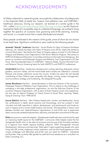# <span id="page-31-0"></span>ACKNOWLEDGEMENTS

As Wake undertook to create this guide, we sought the collaboration of professionals in the disparate fields of estate law, hospice and palliative care, and LGBTQIA+ healthcare advocacy. During our research, we learned of a similar guide in the U.K., called [Making Informed Choices When Planning a Funeral,](https://ceremonymatters.org/wp-content/uploads/2020/Standard-PDF-queer-funeral-guide) by Ash Hayhurst. Inspired by Hayhurst's accessible, easy-to-understand language, we worked to bring together the specifics of Louisiana laws governing end-of-life planning, funerals, and burial, in a simple format that is easily distributed and shared.

Many people contributed to the creation of this guide, some of whom do not choose to be listed here. Significant contributions were made by the following people:

Amanda "Mandy" Anderson (she/her) - Social Worker for Heart of Hospice-Northeast (Monroe, LA). Mandy has been with Heart of Hospice since 2018, where she started as a Social Work Intern. She led the first Heart of Hospice agency to Level 5 in the National Hospice and Palliative Care Organization's We Honor Veterans Program. She serves on NHPCOs Professional Education Committee and Trauma Informed Care Workgroup. She serves on Louisiana and Mississippi Hospice and Palliative Care Organization's VA Task Force. She has presented topics on LGBTQIA+ Veterans Needs, Trauma Informed Care, and Veterans Trauma Screening topics for both LMHPCO and NHPCO conferences.

Amelia Bird (she/they) - Amelia has a background in writing, teaching, state parks, school gardens, and print media, and her hand-made artist's books are collected in university libraries and private collections across the country. Amelia has spent the last decade contributing to New Orleans area nonprofits with design, writing, project management, communications strategy, and fundraising. She designed this guide.

Jamey Boudreaux (he/him) - Jamey Boudreaux is Executive Director of the Louisiana-Mississippi Hospice & Palliative Care Organization. Prior to taking on the challenges of managing a two-state professional organization, he was the Executive Director of the Louisiana Hospice Organization, with 6 years of direct hospice social work experience. He was also an Adjunct Professor at Tulane School of Social Work, teaching "Death, Dying & Grieving" from 1998-2018.

Laurie Dietrich (she/her) - New Orleans-based artist, ritualist, and deathworker. Laurie has certifications in death doula practice and thanatology, and has worked in both volunteer and staff capacities in admin, development, and psychosocial and hands-on care in hospice and in social-model hospice care homes. She specializes in liaison work between families and medical/hospice organizations at end-of-life and is passionate about community-centered empowerment, advocacy, and education around end-of-life care.

Dietz (any pronoun used with respect) - Genderqueer health educator and activist focused on improving health equity for the LGBTQIA+ community. Dietz helped create the first transgender health clinic in the state of Louisiana and are one of the founding members of a regional trans health capacity building collective: TIDAL (Transgender Inclusive Development, Advocacy and Learning). Dietz spent 5 years supporting people who were living with HIV as they underwent cancer treatment, and has first-hand experience of the unique challenges and difficulties end-of-life care can entail for LGBTQ+ individuals and families. They currently offer gender-focused technical assistance as a consultant via Dietz Consulting, LLC.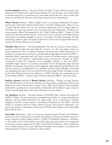Liz Dunnebacke (she/her) - Executive Director of Wake, Liz has worked variously in the entertainment industry and nonprofit administration for over 30 years. Liz founded Wake to provide resources to Louisianans for sustainable end-of-life care. She currently also serves on the Board of Directors of the Green Burial Council, International.

Allison Durant (she/her) - Allison Lindsey Durant is a Licensed Professional Counselor and founder of the New Orleans Grief Center in the New Orleans area. Allison's focus on grief and loss stems from her own personal experiences and an intense desire to normalize the mourning process and to provide safe and therapeutic individual and group support. Allison has presented on the "Grief of Getting Sober," "Impact of Grief and Loss on the Mind, Body and Soul" and to the school counselors in the New Orleans community on providing strategies to serve our youngest and most vulnerable. Through witnessing a person's grief, she hopes we become a community of support that learns to embrace all of the emotions a loss creates.

Nicholas Hite (he/him) - Nicholas established The Hite Law Group in New Orleans, Louisiana and has been Principal there for 10 years. It is the only openly queer-run, queer-centered law firm in Louisiana. Nicholas has served over 1,000 clients across 13 parishes in Louisiana and continues to provide leading-edge legal services for LGBTQ+ identified clients, especially adult and child survivors of intimate partner violence and sexual assault. Instrumental in spearheading policy and practice changes for TGNC Louisianans making ID corrections more accessible, Nicholas is the sole TGNCcompetent legal resource in Louisiana recognized by the Transgender Legal Services Network, Transgender Law Center, and Transgender Legal Defense and Education Fund. He also serves as a qualified family law mediator, juvenile public defender, co-founder and managing attorney for the non-profit Family Justice Legal Center, and legal counsel for the New Orleans Family Justice Alliance. In 2022, Nicholas was recognized as one of the 40 Best LGBTQ+ Lawyers Under 40 by the national LGBTQ+ Bar Association.

Kathryn Lafrentz (she/her) & Rachel Jokinen (she/her) - Director of Legal Services and Staff Attorney for Community Outreach and Successions, respectively, Kathryn and Rachel both work at The Pro Bono Project. Since 1986, The Pro Bono Project has been dedicated to assisting low-income families, individuals and the elderly to gain access to lawyers and the legal system which they otherwise could not afford.

Jim Meadows (he/him) - Executive Director of NOAGE (New Orleans Advocates for LGBTQ+ Elders). Jim has practiced as a licensed social worker in a variety of healthcare settings, and has worked extensively with older adults. He is a columnist for Ambush Magazine, and he currently serves on the Board of Directors for the LGBT+ Archives Project of Louisiana and the Tulane School of Social Work Alumni Association. Jim previously served on the Board of Directors for PFLAG New Orleans and Friday Night Before Mardi Gras.

**Ezra Salter** (they/them) - Ezra is a Louisiana licensed Funeral Director and Embalmer practicing in New Orleans and a member of the Board of Directors of Wake; they are a former member of New Orleans Mayor's COVID-19 Deathcare Taskforce, contributor to The Order of the Good Death's end-of life planning resources for the transgender community, and past speaker at the 2021 Green Burial Conference. Their professional focus includes advocacy for queer deathcare and green burial options in Louisiana and the preservation of historic cemeteries in New Orleans.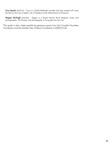Cory Sparks (he/him) - Cory is a United Methodist minister who has worked with many families at the time of death. He is President of the Wake Board of Directors.

Megan McHugh (she/her) - Megan is a flower farmer, floral designer, writer, and photographer. The flowers and photography in this guide are from her.

This guide is also made possible by generous grants from the Coughlin-Saunders Foundation and the Greater New Orleans Foundation's LGBTQ Fund.